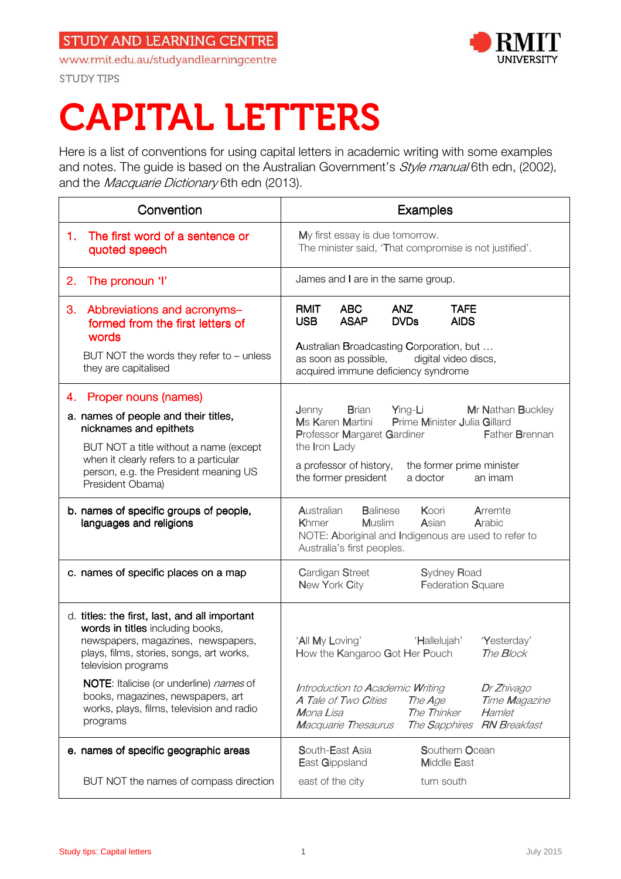www.rmit.edu.au/studyandlearningcentre



**STUDY TIPS** 

# CAPITAL LETTERS

Here is a list of conventions for using capital letters in academic writing with some examples and notes. The guide is based on the Australian Government's *Style manual* 6th edn, (2002), and the Macquarie Dictionary 6th edn (2013).

| Convention                                                                                                                                                                                 | <b>Examples</b>                                                                                                                                                                                                                                      |
|--------------------------------------------------------------------------------------------------------------------------------------------------------------------------------------------|------------------------------------------------------------------------------------------------------------------------------------------------------------------------------------------------------------------------------------------------------|
| The first word of a sentence or<br>1.<br>quoted speech                                                                                                                                     | My first essay is due tomorrow.<br>The minister said, 'That compromise is not justified'.                                                                                                                                                            |
| 2.<br>The pronoun 'I'                                                                                                                                                                      | James and I are in the same group.                                                                                                                                                                                                                   |
| Abbreviations and acronyms-<br>3.<br>formed from the first letters of<br>words<br>BUT NOT the words they refer to - unless<br>they are capitalised                                         | <b>RMIT</b><br><b>ABC</b><br><b>ANZ</b><br><b>TAFE</b><br><b>ASAP</b><br><b>USB</b><br><b>DVDs</b><br><b>AIDS</b><br>Australian Broadcasting Corporation, but<br>as soon as possible,<br>digital video discs,<br>acquired immune deficiency syndrome |
| Proper nouns (names)<br>4.                                                                                                                                                                 |                                                                                                                                                                                                                                                      |
| a. names of people and their titles,<br>nicknames and epithets<br>BUT NOT a title without a name (except<br>when it clearly refers to a particular                                         | <b>Brian Ying-Li</b><br>Mr Nathan Buckley<br>Jenny<br>Prime Minister Julia Gillard<br>Ms Karen Martini<br>Father Brennan<br>Professor Margaret Gardiner<br>the Iron Lady<br>a professor of history,<br>the former prime minister                     |
| person, e.g. the President meaning US<br>President Obama)                                                                                                                                  | the former president<br>a doctor<br>an imam                                                                                                                                                                                                          |
| b. names of specific groups of people,<br>languages and religions                                                                                                                          | Australian<br><b>Balinese</b><br>Koori<br>Arremte<br>Asian<br><b>Muslim</b><br>Arabic<br>Khmer<br>NOTE: Aboriginal and Indigenous are used to refer to<br>Australia's first peoples.                                                                 |
| c. names of specific places on a map                                                                                                                                                       | Cardigan Street<br><b>Sydney Road</b><br>New York City<br>Federation Square                                                                                                                                                                          |
| d. titles: the first, last, and all important<br>words in titles including books,<br>newspapers, magazines, newspapers,<br>plays, films, stories, songs, art works,<br>television programs | 'All My Loving'<br>'Yesterday'<br>'Hallelujah'<br>The Block<br>How the Kangaroo Got Her Pouch                                                                                                                                                        |
| <b>NOTE:</b> Italicise (or underline) names of<br>books, magazines, newspapers, art<br>works, plays, films, television and radio<br>programs                                               | Introduction to Academic Writing<br>Dr Zhivago<br>A Tale of Two Cities<br>The Age<br>Time Magazine<br>The Thinker<br>Mona Lisa<br>Hamlet<br>The Sapphires RN Breakfast<br><b>Macquarie Thesaurus</b>                                                 |
| e. names of specific geographic areas                                                                                                                                                      | South-East Asia<br>Southern Ocean<br>East Gippsland<br><b>Middle East</b>                                                                                                                                                                            |
| BUT NOT the names of compass direction                                                                                                                                                     | east of the city<br>turn south                                                                                                                                                                                                                       |